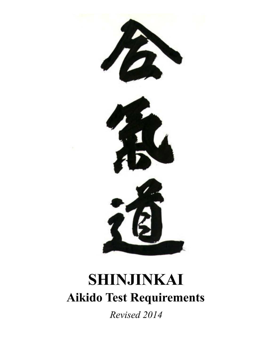

# **SHINJINKAI Aikido Test Requirements**

*Revised 2014*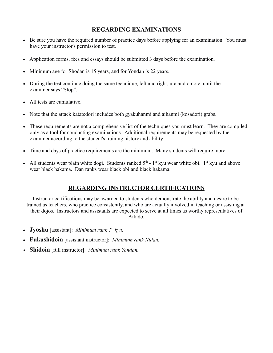#### **REGARDING EXAMINATIONS**

- Be sure you have the required number of practice days before applying for an examination. You must have your instructor's permission to test.
- Application forms, fees and essays should be submitted 3 days before the examination.
- Minimum age for Shodan is 15 years, and for Yondan is 22 years.
- During the test continue doing the same technique, left and right, ura and omote, until the examiner says "Stop".
- All tests are cumulative.
- Note that the attack katatedori includes both gyakuhanmi and aihanmi (kosadori) grabs.
- These requirements are not a comprehensive list of the techniques you must learn. They are compiled only as a tool for conducting examinations. Additional requirements may be requested by the examiner according to the student's training history and ability.
- Time and days of practice requirements are the minimum. Many students will require more.
- All students wear plain white dogi. Students ranked  $5<sup>th</sup>$  1<sup>st</sup> kyu wear white obi. 1<sup>st</sup> kyu and above wear black hakama. Dan ranks wear black obi and black hakama.

#### **REGARDING INSTRUCTOR CERTIFICATIONS**

 Instructor certifications may be awarded to students who demonstrate the ability and desire to be trained as teachers, who practice consistently, and who are actually involved in teaching or assisting at their dojos. Instructors and assistants are expected to serve at all times as worthy representatives of Aikido.

- **Jyoshu** [assistant]: *Minimum rank 1st kyu.*
- **Fukushidoin** [assistant instructor]: *Minimum rank Nidan.*
- **Shidoin** [full instructor]: *Minimum rank Yondan.*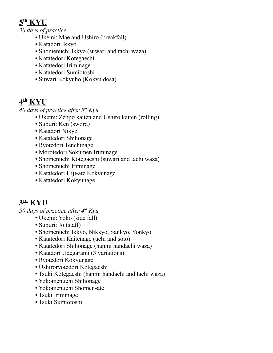# **5 th KYU**

*30 days of practice*

- Ukemi: Mae and Ushiro (breakfall)
- Katadori Ikkyo
- Shomenuchi Ikkyo (suwari and tachi waza)
- Katatedori Kotegaeshi
- Katatedori Iriminage
- Katatedori Sumiotoshi
- Suwari Kokyuho (Kokyu dosa)

# **4 th KYU**

*40 days of practice after 5th Kyu*

- Ukemi: Zenpo kaiten and Ushiro kaiten (rolling)
- Suburi: Ken (sword)
- Katadori Nikyo
- Katatedori Shihonage
- Ryotedori Tenchinage
- Morotedori Sokumen Iriminage
- Shomenuchi Kotegaeshi (suwari and tachi waza)
- Shomenuchi Iriminage
- Katatedori Hiji-ate Kokyunage
- Katatedori Kokyunage

# **3 rd KYU**

*50 days of practice after 4th Kyu*

- Ukemi: Yoko (side fall)
- Suburi: Jo (staff)
- Shomenuchi Ikkyo, Nikkyo, Sankyo, Yonkyo
- Katatedori Kaitenage (uchi and soto)
- Katatedori Shihonage (hanmi handachi waza)
- Katadori Udegarami (3 variations)
- Ryotedori Kokyunage
- Ushiroryotedori Kotegaeshi
- Tsuki Kotegaeshi (hanmi handachi and tachi waza)
- Yokomenuchi Shihonage
- Yokomenuchi Shomen-ate
- Tsuki Iriminage
- Tsuki Sumiotoshi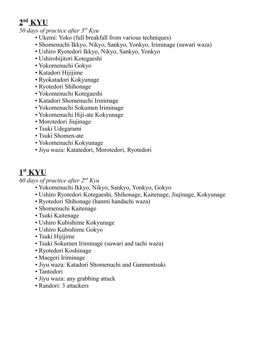# **2 nd KYU**

*50 days of practice after 3rd Kyu*

- Ukemi: Yoko (full breakfall from various techniques)
- Shomenuchi Ikkyo, Nikyo, Sankyo, Yonkyo, Iriminage (suwari waza)
- Ushiro Ryotedori Ikkyo, Nikyo, Sankyo, Yonkyo
- Ushirohijitori Kotegaeshi
- Yokomenuchi Gokyo
- Katadori Hijijime
- Ryokatadori Kokyunage
- Ryotedori Shihonage
- Yokomenuchi Kotegaeshi
- Katadori Shomenuchi Iriminage
- Yokomenuchi Sokumen Iriminage
- Yokomenuchi Hiji-ate Kokyunage
- Morotedori Jiujinage
- Tsuki Udegarami
- Tsuki Shomen-ate
- Yokomenuchi Kokyunage
- Jiyu waza: Katatedori, Morotedori, Ryotedori

# **1 st KYU**

*60 days of practice after 2nd Kyu*

- Yokomenuchi Ikkyo, Nikyo, Sankyo, Yonkyo, Gokyo
- Ushiro Ryotedori Kotegaeshi, Shihonage, Kaitenage, Jiujinage, Kokyunage
- Ryotedori Shihonage (hanmi handachi waza)
- Shomenuchi Kaitenage
- Tsuki Kaitenage
- Ushiro Kubishime Kokyunage
- Ushiro Kubishime Gokyo
- Tsuki Hijijime
- Tsuki Sokumen Iriminage (suwari and tachi waza)
- Ryotedori Koshinage
- Maegeri Iriminage
- Jiyu waza: Katadori Shomenuchi and Ganmentsuki
- Tantodori
- Jiyu waza: any grabbing attack
- Randori: 3 attackers